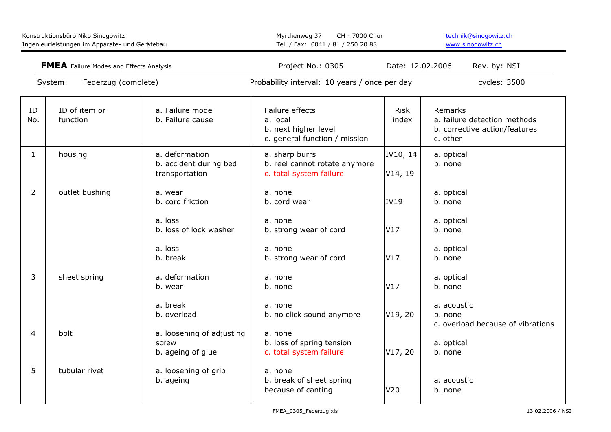| Konstruktionsbüro Niko Sinogowitz<br>Ingenieurleistungen im Apparate- und Gerätebau<br><b>FMEA</b> Failure Modes and Effects Analysis<br>Federzug (complete)<br>System: |                           | Myrthenweg 37<br>CH - 7000 Chur<br>Tel. / Fax: 0041 / 81 / 250 20 88 |                                                                                      | technik@sinogowitz.ch<br>www.sinogowitz.ch |                                                                                      |
|-------------------------------------------------------------------------------------------------------------------------------------------------------------------------|---------------------------|----------------------------------------------------------------------|--------------------------------------------------------------------------------------|--------------------------------------------|--------------------------------------------------------------------------------------|
|                                                                                                                                                                         |                           | Project No.: 0305<br>Date: 12.02.2006                                |                                                                                      | Rev. by: NSI                               |                                                                                      |
|                                                                                                                                                                         |                           |                                                                      | Probability interval: 10 years / once per day                                        |                                            | cycles: 3500                                                                         |
| ID<br>No.                                                                                                                                                               | ID of item or<br>function | a. Failure mode<br>b. Failure cause                                  | Failure effects<br>a. local<br>b. next higher level<br>c. general function / mission | <b>Risk</b><br>index                       | Remarks<br>a. failure detection methods<br>b. corrective action/features<br>c. other |
| $\mathbf{1}$                                                                                                                                                            | housing                   | a. deformation<br>b. accident during bed<br>transportation           | a. sharp burrs<br>b. reel cannot rotate anymore<br>c. total system failure           | IV10, 14<br>V14, 19                        | a. optical<br>b. none                                                                |
| $\overline{2}$                                                                                                                                                          | outlet bushing            | a. wear<br>b. cord friction                                          | a. none<br>b. cord wear                                                              | <b>IV19</b>                                | a. optical<br>b. none                                                                |
|                                                                                                                                                                         |                           | a. loss<br>b. loss of lock washer                                    | a. none<br>b. strong wear of cord                                                    | V17                                        | a. optical<br>b. none                                                                |
|                                                                                                                                                                         |                           | a. loss<br>b. break                                                  | a. none<br>b. strong wear of cord                                                    | V17                                        | a. optical<br>b. none                                                                |
| 3                                                                                                                                                                       | sheet spring              | a. deformation<br>b. wear                                            | a. none<br>b. none                                                                   | V17                                        | a. optical<br>b. none                                                                |
|                                                                                                                                                                         |                           | a. break<br>b. overload                                              | a. none<br>b. no click sound anymore                                                 | V19, 20                                    | a. acoustic<br>b. none<br>c. overload because of vibrations                          |
| 4                                                                                                                                                                       | bolt                      | a. loosening of adjusting<br>screw<br>b. ageing of glue              | a. none<br>b. loss of spring tension<br>c. total system failure                      | V17, 20                                    | a. optical<br>b. none                                                                |
| 5                                                                                                                                                                       | tubular rivet             | a. loosening of grip<br>b. ageing                                    | a. none<br>b. break of sheet spring<br>because of canting                            | V20                                        | a. acoustic<br>b. none                                                               |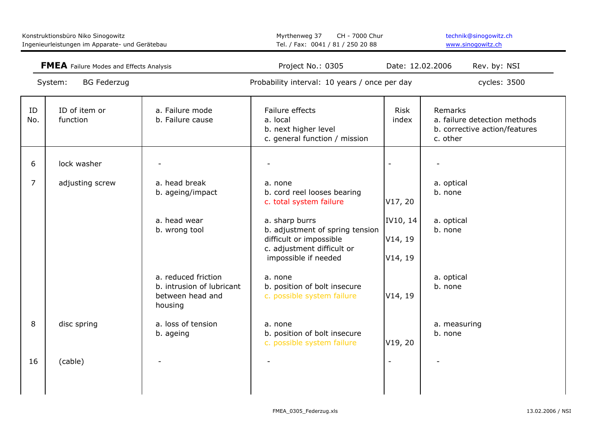| Konstruktionsbüro Niko Sinogowitz<br>Ingenieurleistungen im Apparate- und Gerätebau<br><b>FMEA</b> Failure Modes and Effects Analysis<br><b>BG Federzug</b><br>System: |                           | Myrthenweg 37<br>CH - 7000 Chur<br>Tel. / Fax: 0041 / 81 / 250 20 88            |                                                                                                                                                                                                         | technik@sinogowitz.ch<br>www.sinogowitz.ch |                                                                                      |  |
|------------------------------------------------------------------------------------------------------------------------------------------------------------------------|---------------------------|---------------------------------------------------------------------------------|---------------------------------------------------------------------------------------------------------------------------------------------------------------------------------------------------------|--------------------------------------------|--------------------------------------------------------------------------------------|--|
|                                                                                                                                                                        |                           |                                                                                 | Project No.: 0305<br>Date: 12.02.2006<br>Probability interval: 10 years / once per day                                                                                                                  |                                            | Rev. by: NSI<br>cycles: 3500                                                         |  |
|                                                                                                                                                                        |                           |                                                                                 |                                                                                                                                                                                                         |                                            |                                                                                      |  |
| ID<br>No.                                                                                                                                                              | ID of item or<br>function | a. Failure mode<br>b. Failure cause                                             | Failure effects<br>a. local<br>b. next higher level<br>c. general function / mission                                                                                                                    | <b>Risk</b><br>index                       | Remarks<br>a. failure detection methods<br>b. corrective action/features<br>c. other |  |
| 6                                                                                                                                                                      | lock washer               |                                                                                 |                                                                                                                                                                                                         |                                            |                                                                                      |  |
| $\overline{7}$                                                                                                                                                         | adjusting screw           | a. head break<br>b. ageing/impact<br>a. head wear<br>b. wrong tool              | a. none<br>b. cord reel looses bearing<br>c. total system failure<br>a. sharp burrs<br>b. adjustment of spring tension<br>difficult or impossible<br>c. adjustment difficult or<br>impossible if needed | V17, 20<br>IV10, 14<br>V14, 19<br>V14, 19  | a. optical<br>b. none<br>a. optical<br>b. none                                       |  |
|                                                                                                                                                                        |                           | a. reduced friction<br>b. intrusion of lubricant<br>between head and<br>housing | a. none<br>b. position of bolt insecure<br>c. possible system failure                                                                                                                                   | V14, 19                                    | a. optical<br>b. none                                                                |  |
| 8                                                                                                                                                                      | disc spring               | a. loss of tension<br>b. ageing                                                 | a. none<br>b. position of bolt insecure<br>c. possible system failure                                                                                                                                   | V19, 20                                    | a. measuring<br>b. none                                                              |  |
| 16                                                                                                                                                                     | (cable)                   |                                                                                 |                                                                                                                                                                                                         |                                            |                                                                                      |  |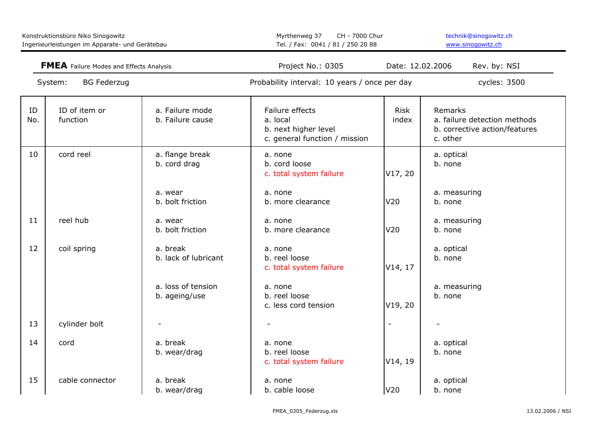| Konstruktionsbüro Niko Sinogowitz<br>Ingenieurleistungen im Apparate- und Gerätebau |                           | Myrthenweg 37<br>CH - 7000 Chur<br>Tel. / Fax: 0041 / 81 / 250 20 88 |                                                                                      | technik@sinogowitz.ch<br>www.sinoqowitz.ch |                                                                                      |
|-------------------------------------------------------------------------------------|---------------------------|----------------------------------------------------------------------|--------------------------------------------------------------------------------------|--------------------------------------------|--------------------------------------------------------------------------------------|
| <b>FMEA</b> Failure Modes and Effects Analysis<br><b>BG Federzug</b><br>System:     |                           | Project No.: 0305                                                    | Date: 12.02.2006                                                                     | Rev. by: NSI                               |                                                                                      |
|                                                                                     |                           |                                                                      | Probability interval: 10 years / once per day                                        |                                            | cycles: 3500                                                                         |
| ID<br>No.                                                                           | ID of item or<br>function | a. Failure mode<br>b. Failure cause                                  | Failure effects<br>a. local<br>b. next higher level<br>c. general function / mission | <b>Risk</b><br>index                       | Remarks<br>a. failure detection methods<br>b. corrective action/features<br>c. other |
| 10                                                                                  | cord reel                 | a. flange break<br>b. cord drag                                      | a. none<br>b. cord loose<br>c. total system failure                                  | V17, 20                                    | a. optical<br>b. none                                                                |
|                                                                                     |                           | a. wear<br>b. bolt friction                                          | a. none<br>b. more clearance                                                         | V <sub>20</sub>                            | a. measuring<br>b. none                                                              |
| 11                                                                                  | reel hub                  | a. wear<br>b. bolt friction                                          | a. none<br>b. more clearance                                                         | V20                                        | a. measuring<br>b. none                                                              |
| 12                                                                                  | coil spring               | a. break<br>b. lack of lubricant                                     | a. none<br>b. reel loose<br>c. total system failure                                  | V14, 17                                    | a. optical<br>b. none                                                                |
|                                                                                     |                           | a. loss of tension<br>b. ageing/use                                  | a. none<br>b. reel loose<br>c. less cord tension                                     | V19, 20                                    | a. measuring<br>b. none                                                              |
| 13                                                                                  | cylinder bolt             |                                                                      |                                                                                      |                                            |                                                                                      |
| 14                                                                                  | cord                      | a. break<br>b. wear/drag                                             | a. none<br>b. reel loose<br>c. total system failure                                  | V14, 19                                    | a. optical<br>b. none                                                                |
| 15                                                                                  | cable connector           | a. break<br>b. wear/drag                                             | a. none<br>b. cable loose                                                            | V20                                        | a. optical<br>b. none                                                                |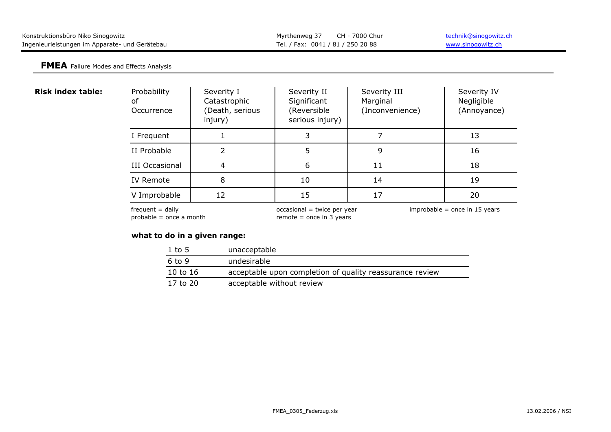| Konstruktionsbüro Niko Sinogowitz              | Myrthenweg 37 CH - 7000 Chur      | technik@sinogowitz.ch |
|------------------------------------------------|-----------------------------------|-----------------------|
| Ingenieurleistungen im Apparate- und Gerätebau | Tel. / Fax: 0041 / 81 / 250 20 88 | www.sinogowitz.ch     |

#### **FMEA** Failure Modes and Effects Analysis

|  |  | <b>Risk index table:</b> |
|--|--|--------------------------|
|--|--|--------------------------|

| Probability<br>οf<br>Occurrence | Severity I<br>Catastrophic<br>(Death, serious<br>injury) | Severity II<br>Significant<br>(Reversible<br>serious injury) | Severity III<br>Marginal<br>(Inconvenience) | Severity IV<br>Negligible<br>(Annoyance) |
|---------------------------------|----------------------------------------------------------|--------------------------------------------------------------|---------------------------------------------|------------------------------------------|
| I Frequent                      |                                                          |                                                              |                                             | 13                                       |
| II Probable                     |                                                          | .5                                                           | 9                                           | 16                                       |
| <b>III Occasional</b>           | 4                                                        | 6                                                            | 11                                          | 18                                       |
| IV Remote                       | 8                                                        | 10                                                           | 14                                          | 19                                       |
| V Improbable                    | 12                                                       | 15                                                           | 17                                          | 20                                       |

probable = once a month remote = once in 3 years

frequent = daily example and the occasional = twice per year improbable = once in 15 years

# **what to do in a given range:**

| $1$ to 5   | unacceptable                                             |
|------------|----------------------------------------------------------|
| 6 to 9     | undesirable                                              |
| 10 to $16$ | acceptable upon completion of quality reassurance review |
| 17 to 20   | acceptable without review                                |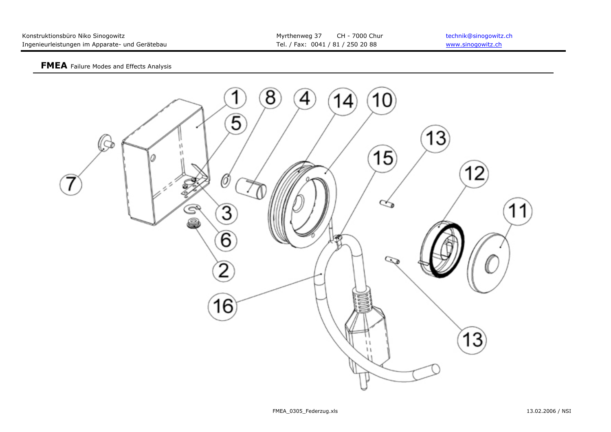| Konstruktionsbüro Niko Sinogowitz              | Myrthenweg 37 CH - 7000 Chur      | technik@sinogowitz.ch |
|------------------------------------------------|-----------------------------------|-----------------------|
| Ingenieurleistungen im Apparate- und Gerätebau | Tel. / Fax: 0041 / 81 / 250 20 88 | www.sinogowitz.ch     |

#### **FMEA** Failure Modes and Effects Analysis